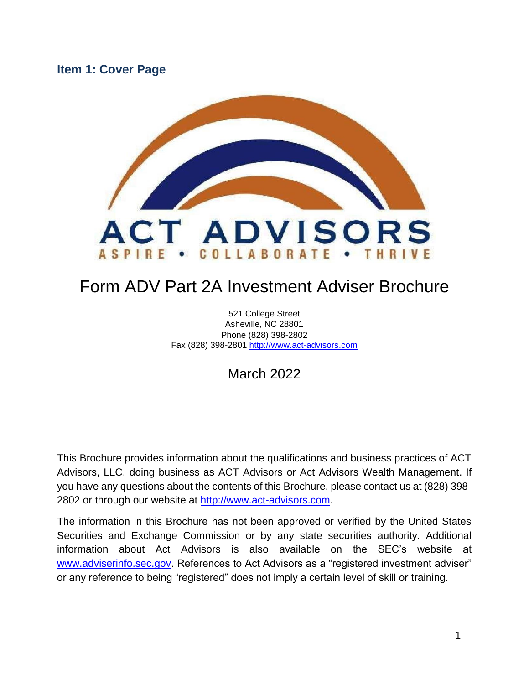<span id="page-0-0"></span>**Item 1: Cover Page**



# Form ADV Part 2A Investment Adviser Brochure

521 College Street Asheville, NC 28801 Phone (828) 398-2802 Fax (828) 398-2801 [http://www.act-advisors.com](http://www.act-advisors.com/)

March 2022

This Brochure provides information about the qualifications and business practices of ACT Advisors, LLC. doing business as ACT Advisors or Act Advisors Wealth Management. If you have any questions about the contents of this Brochure, please contact us at (828) 398- 2802 or through our website at [http://www.act-advisors.com.](http://www.act-advisors.com/)

The information in this Brochure has not been approved or verified by the United States Securities and Exchange Commission or by any state securities authority. Additional information about Act Advisors is also available on the SEC's website at [www.adviserinfo.sec.gov.](http://www.adviserinfo.sec.gov/) References to Act Advisors as a "registered investment adviser" or any reference to being "registered" does not imply a certain level of skill or training.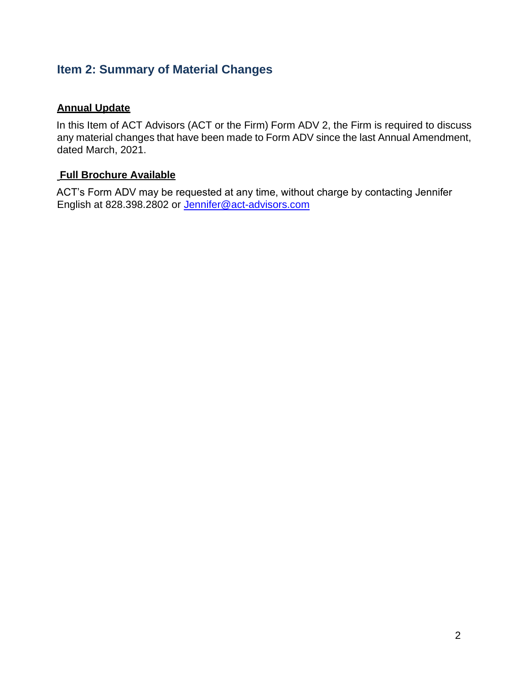## <span id="page-1-0"></span>**Item 2: Summary of Material Changes**

#### **Annual Update**

In this Item of ACT Advisors (ACT or the Firm) Form ADV 2, the Firm is required to discuss any material changes that have been made to Form ADV since the last Annual Amendment, dated March, 2021.

#### **Full Brochure Available**

ACT's Form ADV may be requested at any time, without charge by contacting Jennifer English at 828.398.2802 or [Jennifer@act-advisors.com](mailto:Jennifer@act-advisors.com)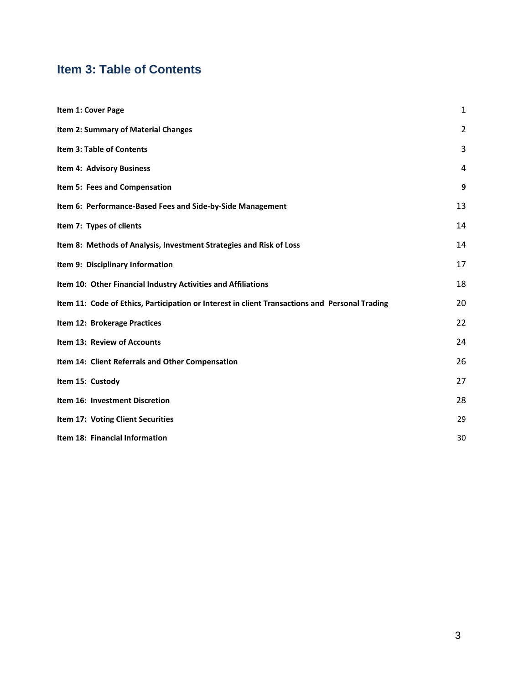## <span id="page-2-0"></span>**Item 3: Table of Contents**

| Item 1: Cover Page                                                                             | $\mathbf{1}$   |
|------------------------------------------------------------------------------------------------|----------------|
| Item 2: Summary of Material Changes                                                            | $\overline{2}$ |
| <b>Item 3: Table of Contents</b>                                                               | 3              |
| Item 4: Advisory Business                                                                      | 4              |
| Item 5: Fees and Compensation                                                                  | 9              |
| Item 6: Performance-Based Fees and Side-by-Side Management                                     | 13             |
| Item 7: Types of clients                                                                       | 14             |
| Item 8: Methods of Analysis, Investment Strategies and Risk of Loss                            | 14             |
| Item 9: Disciplinary Information                                                               | 17             |
| Item 10: Other Financial Industry Activities and Affiliations                                  | 18             |
| Item 11: Code of Ethics, Participation or Interest in client Transactions and Personal Trading | 20             |
| Item 12: Brokerage Practices                                                                   | 22             |
| <b>Item 13: Review of Accounts</b>                                                             | 24             |
| Item 14: Client Referrals and Other Compensation                                               | 26             |
| Item 15: Custody                                                                               | 27             |
| <b>Item 16: Investment Discretion</b>                                                          | 28             |
| Item 17: Voting Client Securities                                                              | 29             |
| <b>Item 18: Financial Information</b>                                                          | 30             |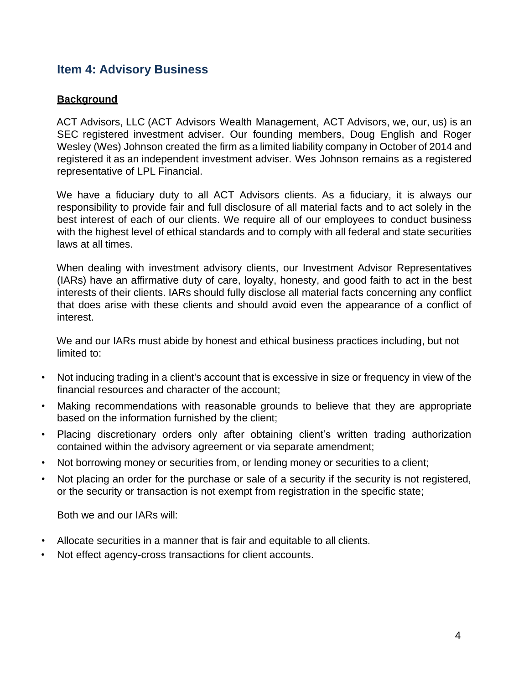## <span id="page-3-0"></span>**Item 4: Advisory Business**

#### **Background**

ACT Advisors, LLC (ACT Advisors Wealth Management, ACT Advisors, we, our, us) is an SEC registered investment adviser. Our founding members, Doug English and Roger Wesley (Wes) Johnson created the firm as a limited liability company in October of 2014 and registered it as an independent investment adviser. Wes Johnson remains as a registered representative of LPL Financial.

We have a fiduciary duty to all ACT Advisors clients. As a fiduciary, it is always our responsibility to provide fair and full disclosure of all material facts and to act solely in the best interest of each of our clients. We require all of our employees to conduct business with the highest level of ethical standards and to comply with all federal and state securities laws at all times.

When dealing with investment advisory clients, our Investment Advisor Representatives (IARs) have an affirmative duty of care, loyalty, honesty, and good faith to act in the best interests of their clients. IARs should fully disclose all material facts concerning any conflict that does arise with these clients and should avoid even the appearance of a conflict of interest.

We and our IARs must abide by honest and ethical business practices including, but not limited to:

- Not inducing trading in a client's account that is excessive in size or frequency in view of the financial resources and character of the account;
- Making recommendations with reasonable grounds to believe that they are appropriate based on the information furnished by the client;
- Placing discretionary orders only after obtaining client's written trading authorization contained within the advisory agreement or via separate amendment;
- Not borrowing money or securities from, or lending money or securities to a client;
- Not placing an order for the purchase or sale of a security if the security is not registered, or the security or transaction is not exempt from registration in the specific state;

Both we and our IARs will:

- Allocate securities in a manner that is fair and equitable to all clients.
- Not effect agency-cross transactions for client accounts.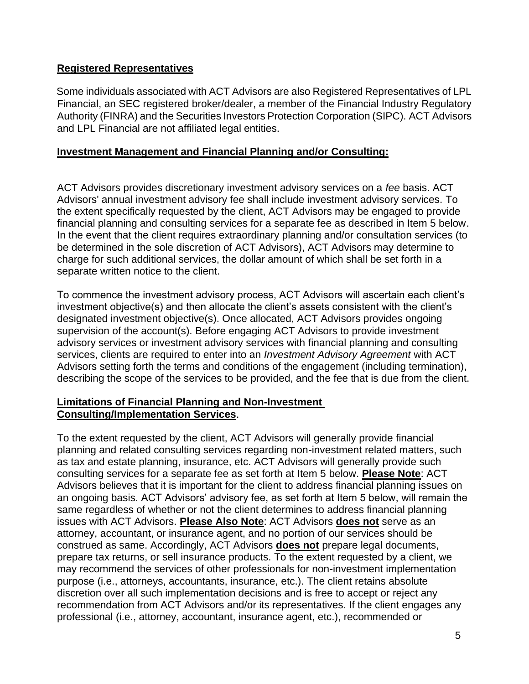#### **Registered Representatives**

Some individuals associated with ACT Advisors are also Registered Representatives of LPL Financial, an SEC registered broker/dealer, a member of the Financial Industry Regulatory Authority (FINRA) and the Securities Investors Protection Corporation (SIPC). ACT Advisors and LPL Financial are not affiliated legal entities.

#### **Investment Management and Financial Planning and/or Consulting:**

ACT Advisors provides discretionary investment advisory services on a *fee* basis. ACT Advisors' annual investment advisory fee shall include investment advisory services. To the extent specifically requested by the client, ACT Advisors may be engaged to provide financial planning and consulting services for a separate fee as described in Item 5 below. In the event that the client requires extraordinary planning and/or consultation services (to be determined in the sole discretion of ACT Advisors), ACT Advisors may determine to charge for such additional services, the dollar amount of which shall be set forth in a separate written notice to the client.

To commence the investment advisory process, ACT Advisors will ascertain each client's investment objective(s) and then allocate the client's assets consistent with the client's designated investment objective(s). Once allocated, ACT Advisors provides ongoing supervision of the account(s). Before engaging ACT Advisors to provide investment advisory services or investment advisory services with financial planning and consulting services, clients are required to enter into an *Investment Advisory Agreement* with ACT Advisors setting forth the terms and conditions of the engagement (including termination), describing the scope of the services to be provided, and the fee that is due from the client.

#### **Limitations of Financial Planning and Non-Investment Consulting/Implementation Services**.

To the extent requested by the client, ACT Advisors will generally provide financial planning and related consulting services regarding non-investment related matters, such as tax and estate planning, insurance, etc. ACT Advisors will generally provide such consulting services for a separate fee as set forth at Item 5 below. **Please Note**: ACT Advisors believes that it is important for the client to address financial planning issues on an ongoing basis. ACT Advisors' advisory fee, as set forth at Item 5 below, will remain the same regardless of whether or not the client determines to address financial planning issues with ACT Advisors. **Please Also Note**: ACT Advisors **does not** serve as an attorney, accountant, or insurance agent, and no portion of our services should be construed as same. Accordingly, ACT Advisors **does not** prepare legal documents, prepare tax returns, or sell insurance products. To the extent requested by a client, we may recommend the services of other professionals for non-investment implementation purpose (i.e., attorneys, accountants, insurance, etc.). The client retains absolute discretion over all such implementation decisions and is free to accept or reject any recommendation from ACT Advisors and/or its representatives. If the client engages any professional (i.e., attorney, accountant, insurance agent, etc.), recommended or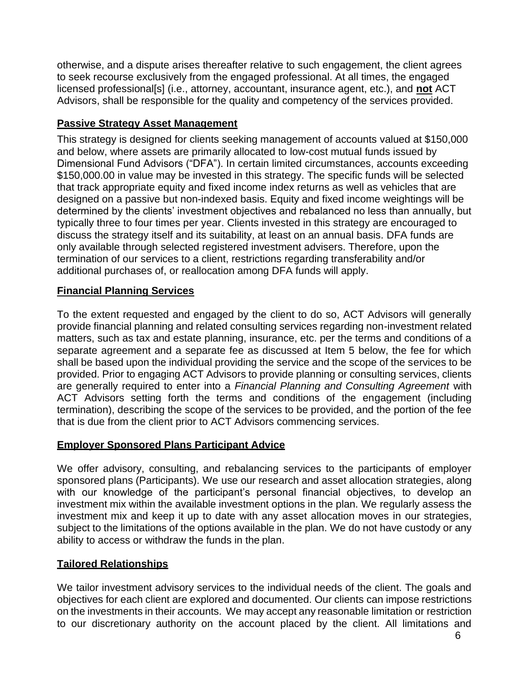otherwise, and a dispute arises thereafter relative to such engagement, the client agrees to seek recourse exclusively from the engaged professional. At all times, the engaged licensed professional[s] (i.e., attorney, accountant, insurance agent, etc.), and **not** ACT Advisors, shall be responsible for the quality and competency of the services provided.

### **Passive Strategy Asset Management**

This strategy is designed for clients seeking management of accounts valued at \$150,000 and below, where assets are primarily allocated to low-cost mutual funds issued by Dimensional Fund Advisors ("DFA"). In certain limited circumstances, accounts exceeding \$150,000.00 in value may be invested in this strategy. The specific funds will be selected that track appropriate equity and fixed income index returns as well as vehicles that are designed on a passive but non-indexed basis. Equity and fixed income weightings will be determined by the clients' investment objectives and rebalanced no less than annually, but typically three to four times per year. Clients invested in this strategy are encouraged to discuss the strategy itself and its suitability, at least on an annual basis. DFA funds are only available through selected registered investment advisers. Therefore, upon the termination of our services to a client, restrictions regarding transferability and/or additional purchases of, or reallocation among DFA funds will apply.

#### **Financial Planning Services**

To the extent requested and engaged by the client to do so, ACT Advisors will generally provide financial planning and related consulting services regarding non-investment related matters, such as tax and estate planning, insurance, etc. per the terms and conditions of a separate agreement and a separate fee as discussed at Item 5 below, the fee for which shall be based upon the individual providing the service and the scope of the services to be provided. Prior to engaging ACT Advisors to provide planning or consulting services, clients are generally required to enter into a *Financial Planning and Consulting Agreement* with ACT Advisors setting forth the terms and conditions of the engagement (including termination), describing the scope of the services to be provided, and the portion of the fee that is due from the client prior to ACT Advisors commencing services.

#### **Employer Sponsored Plans Participant Advice**

We offer advisory, consulting, and rebalancing services to the participants of employer sponsored plans (Participants). We use our research and asset allocation strategies, along with our knowledge of the participant's personal financial objectives, to develop an investment mix within the available investment options in the plan. We regularly assess the investment mix and keep it up to date with any asset allocation moves in our strategies, subject to the limitations of the options available in the plan. We do not have custody or any ability to access or withdraw the funds in the plan.

#### **Tailored Relationships**

We tailor investment advisory services to the individual needs of the client. The goals and objectives for each client are explored and documented. Our clients can impose restrictions on the investments in their accounts. We may accept any reasonable limitation or restriction to our discretionary authority on the account placed by the client. All limitations and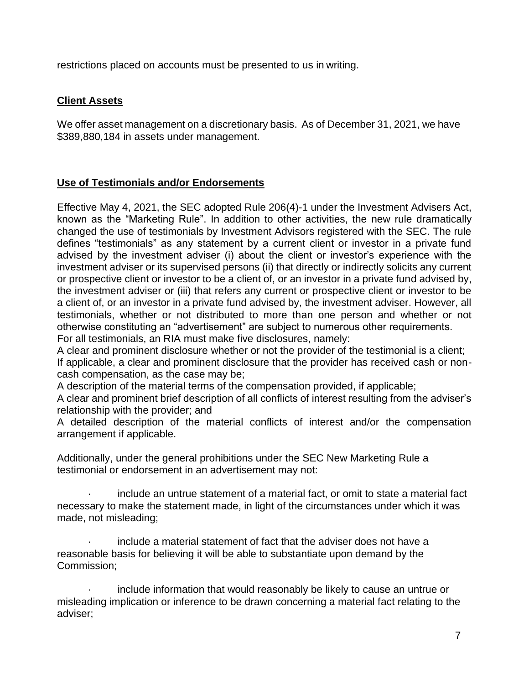restrictions placed on accounts must be presented to us in writing.

#### **Client Assets**

We offer asset management on a discretionary basis. As of December 31, 2021, we have \$389,880,184 in assets under management.

#### **Use of Testimonials and/or Endorsements**

Effective May 4, 2021, the SEC adopted Rule 206(4)-1 under the Investment Advisers Act, known as the "Marketing Rule". In addition to other activities, the new rule dramatically changed the use of testimonials by Investment Advisors registered with the SEC. The rule defines "testimonials" as any statement by a current client or investor in a private fund advised by the investment adviser (i) about the client or investor's experience with the investment adviser or its supervised persons (ii) that directly or indirectly solicits any current or prospective client or investor to be a client of, or an investor in a private fund advised by, the investment adviser or (iii) that refers any current or prospective client or investor to be a client of, or an investor in a private fund advised by, the investment adviser. However, all testimonials, whether or not distributed to more than one person and whether or not otherwise constituting an "advertisement" are subject to numerous other requirements. For all testimonials, an RIA must make five disclosures, namely:

A clear and prominent disclosure whether or not the provider of the testimonial is a client; If applicable, a clear and prominent disclosure that the provider has received cash or noncash compensation, as the case may be;

A description of the material terms of the compensation provided, if applicable;

A clear and prominent brief description of all conflicts of interest resulting from the adviser's relationship with the provider; and

A detailed description of the material conflicts of interest and/or the compensation arrangement if applicable.

Additionally, under the general prohibitions under the SEC New Marketing Rule a testimonial or endorsement in an advertisement may not:

include an untrue statement of a material fact, or omit to state a material fact necessary to make the statement made, in light of the circumstances under which it was made, not misleading;

include a material statement of fact that the adviser does not have a reasonable basis for believing it will be able to substantiate upon demand by the Commission;

include information that would reasonably be likely to cause an untrue or misleading implication or inference to be drawn concerning a material fact relating to the adviser;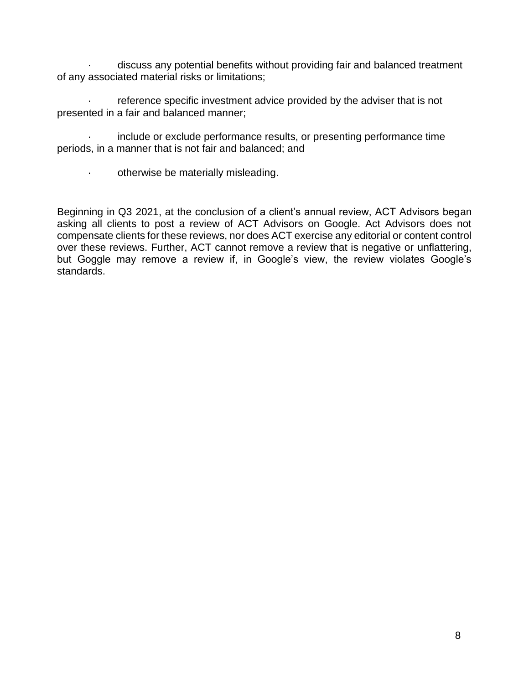discuss any potential benefits without providing fair and balanced treatment of any associated material risks or limitations;

reference specific investment advice provided by the adviser that is not presented in a fair and balanced manner;

include or exclude performance results, or presenting performance time periods, in a manner that is not fair and balanced; and

· otherwise be materially misleading.

Beginning in Q3 2021, at the conclusion of a client's annual review, ACT Advisors began asking all clients to post a review of ACT Advisors on Google. Act Advisors does not compensate clients for these reviews, nor does ACT exercise any editorial or content control over these reviews. Further, ACT cannot remove a review that is negative or unflattering, but Goggle may remove a review if, in Google's view, the review violates Google's standards.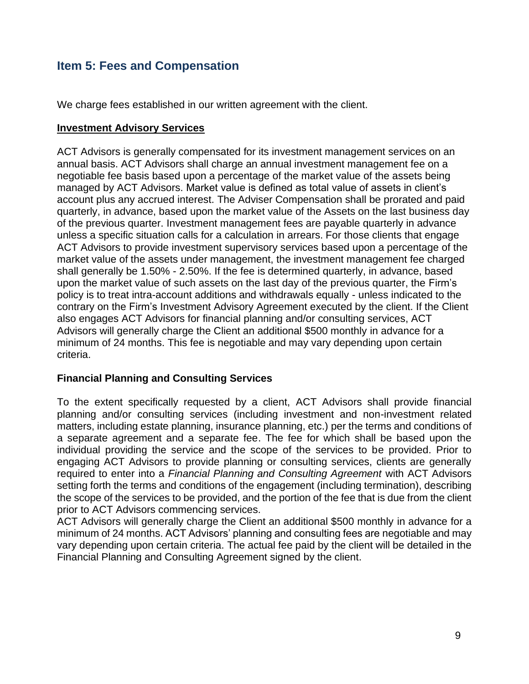## <span id="page-8-0"></span>**Item 5: Fees and Compensation**

We charge fees established in our written agreement with the client.

#### **Investment Advisory Services**

ACT Advisors is generally compensated for its investment management services on an annual basis. ACT Advisors shall charge an annual investment management fee on a negotiable fee basis based upon a percentage of the market value of the assets being managed by ACT Advisors. Market value is defined as total value of assets in client's account plus any accrued interest. The Adviser Compensation shall be prorated and paid quarterly, in advance, based upon the market value of the Assets on the last business day of the previous quarter. Investment management fees are payable quarterly in advance unless a specific situation calls for a calculation in arrears. For those clients that engage ACT Advisors to provide investment supervisory services based upon a percentage of the market value of the assets under management, the investment management fee charged shall generally be 1.50% - 2.50%. If the fee is determined quarterly, in advance, based upon the market value of such assets on the last day of the previous quarter, the Firm's policy is to treat intra-account additions and withdrawals equally - unless indicated to the contrary on the Firm's Investment Advisory Agreement executed by the client. If the Client also engages ACT Advisors for financial planning and/or consulting services, ACT Advisors will generally charge the Client an additional \$500 monthly in advance for a minimum of 24 months. This fee is negotiable and may vary depending upon certain criteria.

#### **Financial Planning and Consulting Services**

To the extent specifically requested by a client, ACT Advisors shall provide financial planning and/or consulting services (including investment and non-investment related matters, including estate planning, insurance planning, etc.) per the terms and conditions of a separate agreement and a separate fee. The fee for which shall be based upon the individual providing the service and the scope of the services to be provided. Prior to engaging ACT Advisors to provide planning or consulting services, clients are generally required to enter into a *Financial Planning and Consulting Agreement* with ACT Advisors setting forth the terms and conditions of the engagement (including termination), describing the scope of the services to be provided, and the portion of the fee that is due from the client prior to ACT Advisors commencing services.

ACT Advisors will generally charge the Client an additional \$500 monthly in advance for a minimum of 24 months. ACT Advisors' planning and consulting fees are negotiable and may vary depending upon certain criteria. The actual fee paid by the client will be detailed in the Financial Planning and Consulting Agreement signed by the client.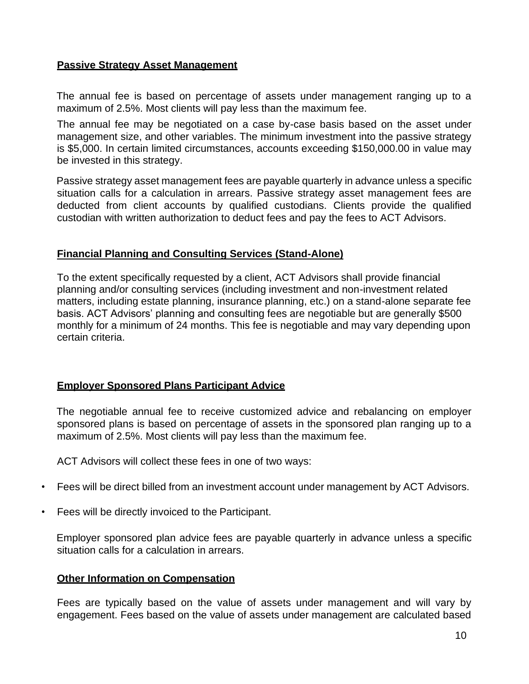#### **Passive Strategy Asset Management**

The annual fee is based on percentage of assets under management ranging up to a maximum of 2.5%. Most clients will pay less than the maximum fee.

The annual fee may be negotiated on a case by-case basis based on the asset under management size, and other variables. The minimum investment into the passive strategy is \$5,000. In certain limited circumstances, accounts exceeding \$150,000.00 in value may be invested in this strategy.

Passive strategy asset management fees are payable quarterly in advance unless a specific situation calls for a calculation in arrears. Passive strategy asset management fees are deducted from client accounts by qualified custodians. Clients provide the qualified custodian with written authorization to deduct fees and pay the fees to ACT Advisors.

#### **Financial Planning and Consulting Services (Stand-Alone)**

To the extent specifically requested by a client, ACT Advisors shall provide financial planning and/or consulting services (including investment and non-investment related matters, including estate planning, insurance planning, etc.) on a stand-alone separate fee basis. ACT Advisors' planning and consulting fees are negotiable but are generally \$500 monthly for a minimum of 24 months. This fee is negotiable and may vary depending upon certain criteria.

#### **Employer Sponsored Plans Participant Advice**

The negotiable annual fee to receive customized advice and rebalancing on employer sponsored plans is based on percentage of assets in the sponsored plan ranging up to a maximum of 2.5%. Most clients will pay less than the maximum fee.

ACT Advisors will collect these fees in one of two ways:

- Fees will be direct billed from an investment account under management by ACT Advisors.
- Fees will be directly invoiced to the Participant.

Employer sponsored plan advice fees are payable quarterly in advance unless a specific situation calls for a calculation in arrears.

#### **Other Information on Compensation**

Fees are typically based on the value of assets under management and will vary by engagement. Fees based on the value of assets under management are calculated based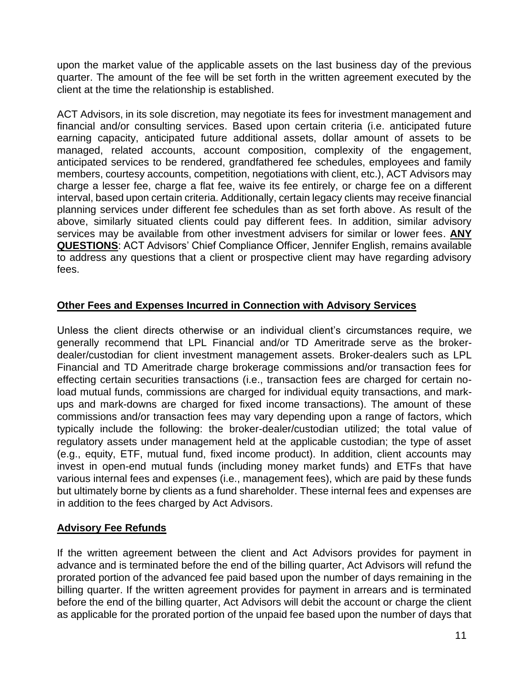upon the market value of the applicable assets on the last business day of the previous quarter. The amount of the fee will be set forth in the written agreement executed by the client at the time the relationship is established.

ACT Advisors, in its sole discretion, may negotiate its fees for investment management and financial and/or consulting services. Based upon certain criteria (i.e. anticipated future earning capacity, anticipated future additional assets, dollar amount of assets to be managed, related accounts, account composition, complexity of the engagement, anticipated services to be rendered, grandfathered fee schedules, employees and family members, courtesy accounts, competition, negotiations with client, etc.), ACT Advisors may charge a lesser fee, charge a flat fee, waive its fee entirely, or charge fee on a different interval, based upon certain criteria. Additionally, certain legacy clients may receive financial planning services under different fee schedules than as set forth above. As result of the above, similarly situated clients could pay different fees. In addition, similar advisory services may be available from other investment advisers for similar or lower fees. **ANY QUESTIONS**: ACT Advisors' Chief Compliance Officer, Jennifer English, remains available to address any questions that a client or prospective client may have regarding advisory fees.

#### **Other Fees and Expenses Incurred in Connection with Advisory Services**

Unless the client directs otherwise or an individual client's circumstances require, we generally recommend that LPL Financial and/or TD Ameritrade serve as the brokerdealer/custodian for client investment management assets. Broker-dealers such as LPL Financial and TD Ameritrade charge brokerage commissions and/or transaction fees for effecting certain securities transactions (i.e., transaction fees are charged for certain noload mutual funds, commissions are charged for individual equity transactions, and markups and mark-downs are charged for fixed income transactions). The amount of these commissions and/or transaction fees may vary depending upon a range of factors, which typically include the following: the broker-dealer/custodian utilized; the total value of regulatory assets under management held at the applicable custodian; the type of asset (e.g., equity, ETF, mutual fund, fixed income product). In addition, client accounts may invest in open-end mutual funds (including money market funds) and ETFs that have various internal fees and expenses (i.e., management fees), which are paid by these funds but ultimately borne by clients as a fund shareholder. These internal fees and expenses are in addition to the fees charged by Act Advisors.

#### **Advisory Fee Refunds**

If the written agreement between the client and Act Advisors provides for payment in advance and is terminated before the end of the billing quarter, Act Advisors will refund the prorated portion of the advanced fee paid based upon the number of days remaining in the billing quarter. If the written agreement provides for payment in arrears and is terminated before the end of the billing quarter, Act Advisors will debit the account or charge the client as applicable for the prorated portion of the unpaid fee based upon the number of days that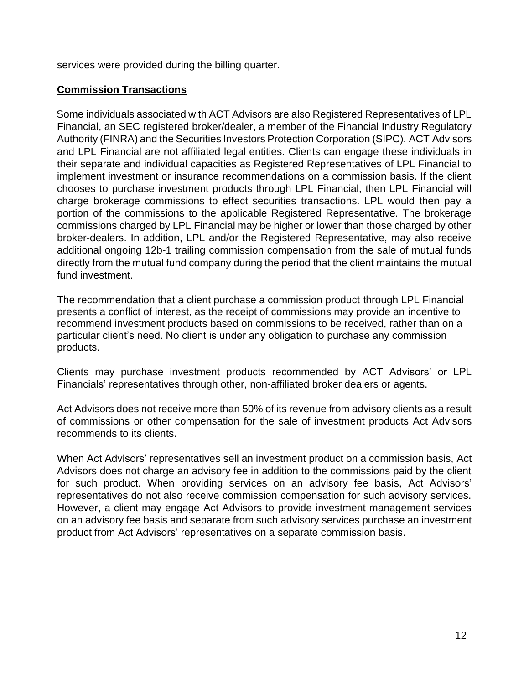services were provided during the billing quarter.

#### **Commission Transactions**

Some individuals associated with ACT Advisors are also Registered Representatives of LPL Financial, an SEC registered broker/dealer, a member of the Financial Industry Regulatory Authority (FINRA) and the Securities Investors Protection Corporation (SIPC). ACT Advisors and LPL Financial are not affiliated legal entities. Clients can engage these individuals in their separate and individual capacities as Registered Representatives of LPL Financial to implement investment or insurance recommendations on a commission basis. If the client chooses to purchase investment products through LPL Financial, then LPL Financial will charge brokerage commissions to effect securities transactions. LPL would then pay a portion of the commissions to the applicable Registered Representative. The brokerage commissions charged by LPL Financial may be higher or lower than those charged by other broker-dealers. In addition, LPL and/or the Registered Representative, may also receive additional ongoing 12b-1 trailing commission compensation from the sale of mutual funds directly from the mutual fund company during the period that the client maintains the mutual fund investment.

The recommendation that a client purchase a commission product through LPL Financial presents a conflict of interest, as the receipt of commissions may provide an incentive to recommend investment products based on commissions to be received, rather than on a particular client's need. No client is under any obligation to purchase any commission products.

Clients may purchase investment products recommended by ACT Advisors' or LPL Financials' representatives through other, non-affiliated broker dealers or agents.

Act Advisors does not receive more than 50% of its revenue from advisory clients as a result of commissions or other compensation for the sale of investment products Act Advisors recommends to its clients.

When Act Advisors' representatives sell an investment product on a commission basis, Act Advisors does not charge an advisory fee in addition to the commissions paid by the client for such product. When providing services on an advisory fee basis, Act Advisors' representatives do not also receive commission compensation for such advisory services. However, a client may engage Act Advisors to provide investment management services on an advisory fee basis and separate from such advisory services purchase an investment product from Act Advisors' representatives on a separate commission basis.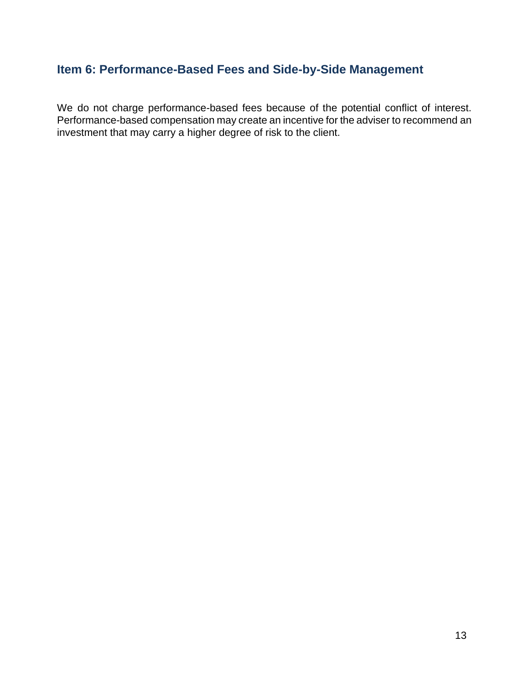## <span id="page-12-0"></span>**Item 6: Performance-Based Fees and Side-by-Side Management**

We do not charge performance-based fees because of the potential conflict of interest. Performance-based compensation may create an incentive for the adviser to recommend an investment that may carry a higher degree of risk to the client.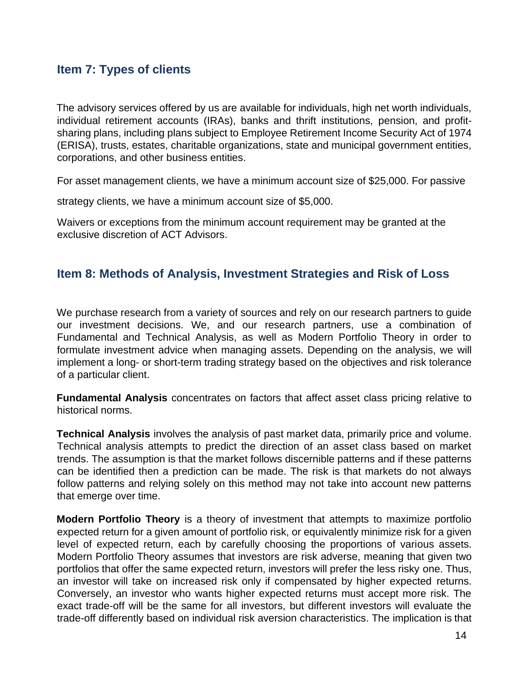## <span id="page-13-0"></span>**Item 7: Types of clients**

The advisory services offered by us are available for individuals, high net worth individuals, individual retirement accounts (IRAs), banks and thrift institutions, pension, and profitsharing plans, including plans subject to Employee Retirement Income Security Act of 1974 (ERISA), trusts, estates, charitable organizations, state and municipal government entities, corporations, and other business entities.

For asset management clients, we have a minimum account size of \$25,000. For passive

strategy clients, we have a minimum account size of \$5,000.

Waivers or exceptions from the minimum account requirement may be granted at the exclusive discretion of ACT Advisors.

## <span id="page-13-1"></span>**Item 8: Methods of Analysis, Investment Strategies and Risk of Loss**

We purchase research from a variety of sources and rely on our research partners to guide our investment decisions. We, and our research partners, use a combination of Fundamental and Technical Analysis, as well as Modern Portfolio Theory in order to formulate investment advice when managing assets. Depending on the analysis, we will implement a long- or short-term trading strategy based on the objectives and risk tolerance of a particular client.

**Fundamental Analysis** concentrates on factors that affect asset class pricing relative to historical norms.

**Technical Analysis** involves the analysis of past market data, primarily price and volume. Technical analysis attempts to predict the direction of an asset class based on market trends. The assumption is that the market follows discernible patterns and if these patterns can be identified then a prediction can be made. The risk is that markets do not always follow patterns and relying solely on this method may not take into account new patterns that emerge over time.

**Modern Portfolio Theory** is a theory of investment that attempts to maximize portfolio expected return for a given amount of portfolio risk, or equivalently minimize risk for a given level of expected return, each by carefully choosing the proportions of various assets. Modern Portfolio Theory assumes that investors are risk adverse, meaning that given two portfolios that offer the same expected return, investors will prefer the less risky one. Thus, an investor will take on increased risk only if compensated by higher expected returns. Conversely, an investor who wants higher expected returns must accept more risk. The exact trade-off will be the same for all investors, but different investors will evaluate the trade-off differently based on individual risk aversion characteristics. The implication is that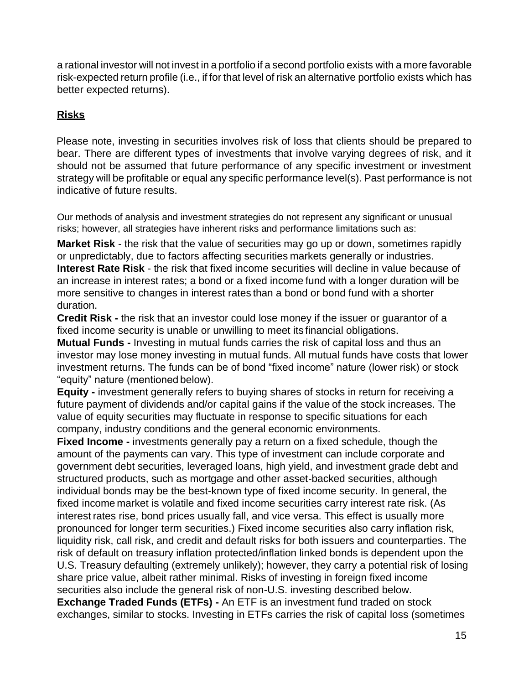a rational investor will not invest in a portfolio if a second portfolio exists with a more favorable risk-expected return profile (i.e., if for that level of risk an alternative portfolio exists which has better expected returns).

#### **Risks**

Please note, investing in securities involves risk of loss that clients should be prepared to bear. There are different types of investments that involve varying degrees of risk, and it should not be assumed that future performance of any specific investment or investment strategy will be profitable or equal any specific performance level(s). Past performance is not indicative of future results.

Our methods of analysis and investment strategies do not represent any significant or unusual risks; however, all strategies have inherent risks and performance limitations such as:

**Market Risk** - the risk that the value of securities may go up or down, sometimes rapidly or unpredictably, due to factors affecting securities markets generally or industries. **Interest Rate Risk** - the risk that fixed income securities will decline in value because of an increase in interest rates; a bond or a fixed income fund with a longer duration will be more sensitive to changes in interest rates than a bond or bond fund with a shorter duration.

**Credit Risk -** the risk that an investor could lose money if the issuer or guarantor of a fixed income security is unable or unwilling to meet its financial obligations.

**Mutual Funds -** Investing in mutual funds carries the risk of capital loss and thus an investor may lose money investing in mutual funds. All mutual funds have costs that lower investment returns. The funds can be of bond "fixed income" nature (lower risk) or stock "equity" nature (mentioned below).

**Equity -** investment generally refers to buying shares of stocks in return for receiving a future payment of dividends and/or capital gains if the value of the stock increases. The value of equity securities may fluctuate in response to specific situations for each company, industry conditions and the general economic environments.

**Fixed Income -** investments generally pay a return on a fixed schedule, though the amount of the payments can vary. This type of investment can include corporate and government debt securities, leveraged loans, high yield, and investment grade debt and structured products, such as mortgage and other asset-backed securities, although individual bonds may be the best-known type of fixed income security. In general, the fixed income market is volatile and fixed income securities carry interest rate risk. (As interest rates rise, bond prices usually fall, and vice versa. This effect is usually more pronounced for longer term securities.) Fixed income securities also carry inflation risk, liquidity risk, call risk, and credit and default risks for both issuers and counterparties. The risk of default on treasury inflation protected/inflation linked bonds is dependent upon the U.S. Treasury defaulting (extremely unlikely); however, they carry a potential risk of losing share price value, albeit rather minimal. Risks of investing in foreign fixed income securities also include the general risk of non-U.S. investing described below.

**Exchange Traded Funds (ETFs) -** An ETF is an investment fund traded on stock exchanges, similar to stocks. Investing in ETFs carries the risk of capital loss (sometimes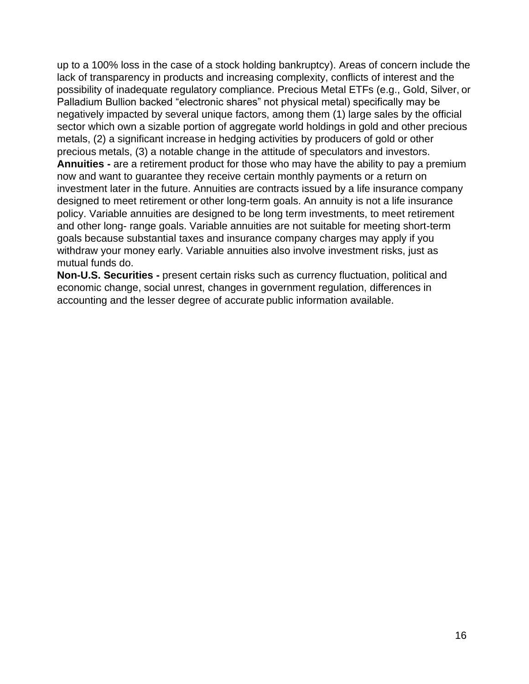up to a 100% loss in the case of a stock holding bankruptcy). Areas of concern include the lack of transparency in products and increasing complexity, conflicts of interest and the possibility of inadequate regulatory compliance. Precious Metal ETFs (e.g., Gold, Silver, or Palladium Bullion backed "electronic shares" not physical metal) specifically may be negatively impacted by several unique factors, among them (1) large sales by the official sector which own a sizable portion of aggregate world holdings in gold and other precious metals, (2) a significant increase in hedging activities by producers of gold or other precious metals, (3) a notable change in the attitude of speculators and investors. **Annuities -** are a retirement product for those who may have the ability to pay a premium now and want to guarantee they receive certain monthly payments or a return on investment later in the future. Annuities are contracts issued by a life insurance company designed to meet retirement or other long-term goals. An annuity is not a life insurance policy. Variable annuities are designed to be long term investments, to meet retirement and other long- range goals. Variable annuities are not suitable for meeting short-term goals because substantial taxes and insurance company charges may apply if you withdraw your money early. Variable annuities also involve investment risks, just as mutual funds do.

**Non-U.S. Securities -** present certain risks such as currency fluctuation, political and economic change, social unrest, changes in government regulation, differences in accounting and the lesser degree of accurate public information available.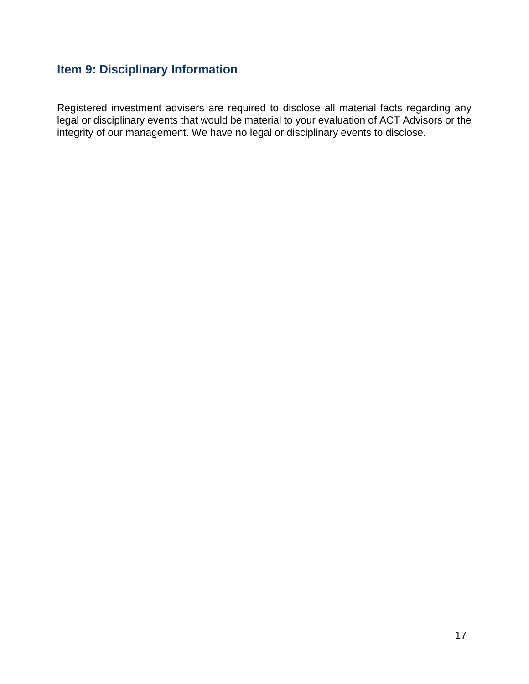## <span id="page-16-0"></span>**Item 9: Disciplinary Information**

Registered investment advisers are required to disclose all material facts regarding any legal or disciplinary events that would be material to your evaluation of ACT Advisors or the integrity of our management. We have no legal or disciplinary events to disclose.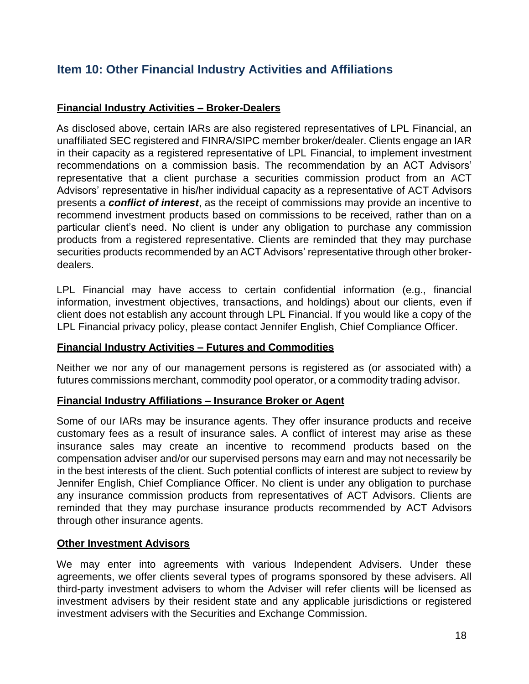## <span id="page-17-0"></span>**Item 10: Other Financial Industry Activities and Affiliations**

#### **Financial Industry Activities – Broker-Dealers**

As disclosed above, certain IARs are also registered representatives of LPL Financial, an unaffiliated SEC registered and FINRA/SIPC member broker/dealer. Clients engage an IAR in their capacity as a registered representative of LPL Financial, to implement investment recommendations on a commission basis. The recommendation by an ACT Advisors' representative that a client purchase a securities commission product from an ACT Advisors' representative in his/her individual capacity as a representative of ACT Advisors presents a *conflict of interest*, as the receipt of commissions may provide an incentive to recommend investment products based on commissions to be received, rather than on a particular client's need. No client is under any obligation to purchase any commission products from a registered representative. Clients are reminded that they may purchase securities products recommended by an ACT Advisors' representative through other brokerdealers.

LPL Financial may have access to certain confidential information (e.g., financial information, investment objectives, transactions, and holdings) about our clients, even if client does not establish any account through LPL Financial. If you would like a copy of the LPL Financial privacy policy, please contact Jennifer English, Chief Compliance Officer.

#### **Financial Industry Activities – Futures and Commodities**

Neither we nor any of our management persons is registered as (or associated with) a futures commissions merchant, commodity pool operator, or a commodity trading advisor.

#### **Financial Industry Affiliations – Insurance Broker or Agent**

Some of our IARs may be insurance agents. They offer insurance products and receive customary fees as a result of insurance sales. A conflict of interest may arise as these insurance sales may create an incentive to recommend products based on the compensation adviser and/or our supervised persons may earn and may not necessarily be in the best interests of the client. Such potential conflicts of interest are subject to review by Jennifer English, Chief Compliance Officer. No client is under any obligation to purchase any insurance commission products from representatives of ACT Advisors. Clients are reminded that they may purchase insurance products recommended by ACT Advisors through other insurance agents.

#### **Other Investment Advisors**

We may enter into agreements with various Independent Advisers. Under these agreements, we offer clients several types of programs sponsored by these advisers. All third-party investment advisers to whom the Adviser will refer clients will be licensed as investment advisers by their resident state and any applicable jurisdictions or registered investment advisers with the Securities and Exchange Commission.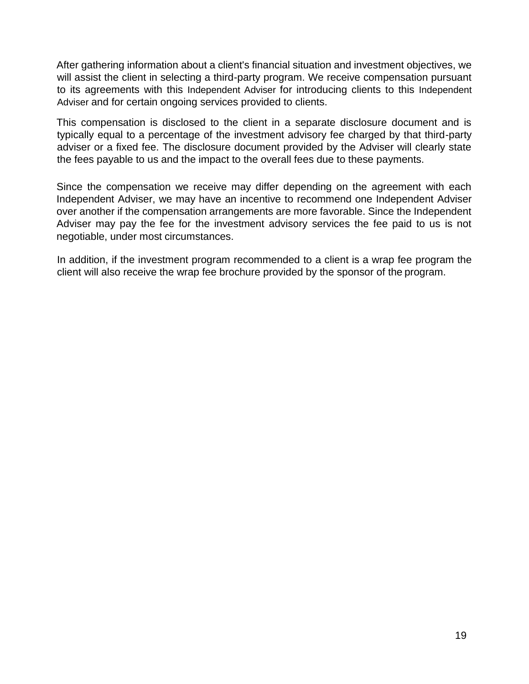After gathering information about a client's financial situation and investment objectives, we will assist the client in selecting a third-party program. We receive compensation pursuant to its agreements with this Independent Adviser for introducing clients to this Independent Adviser and for certain ongoing services provided to clients.

This compensation is disclosed to the client in a separate disclosure document and is typically equal to a percentage of the investment advisory fee charged by that third-party adviser or a fixed fee. The disclosure document provided by the Adviser will clearly state the fees payable to us and the impact to the overall fees due to these payments.

Since the compensation we receive may differ depending on the agreement with each Independent Adviser, we may have an incentive to recommend one Independent Adviser over another if the compensation arrangements are more favorable. Since the Independent Adviser may pay the fee for the investment advisory services the fee paid to us is not negotiable, under most circumstances.

In addition, if the investment program recommended to a client is a wrap fee program the client will also receive the wrap fee brochure provided by the sponsor of the program.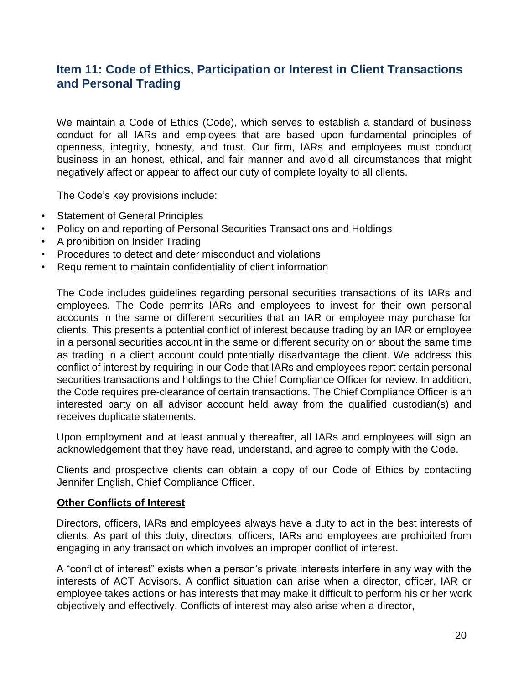## <span id="page-19-0"></span>**Item 11: Code of Ethics, Participation or Interest in Client Transactions and Personal Trading**

We maintain a Code of Ethics (Code), which serves to establish a standard of business conduct for all IARs and employees that are based upon fundamental principles of openness, integrity, honesty, and trust. Our firm, IARs and employees must conduct business in an honest, ethical, and fair manner and avoid all circumstances that might negatively affect or appear to affect our duty of complete loyalty to all clients.

The Code's key provisions include:

- Statement of General Principles
- Policy on and reporting of Personal Securities Transactions and Holdings
- A prohibition on Insider Trading
- Procedures to detect and deter misconduct and violations
- Requirement to maintain confidentiality of client information

The Code includes guidelines regarding personal securities transactions of its IARs and employees. The Code permits IARs and employees to invest for their own personal accounts in the same or different securities that an IAR or employee may purchase for clients. This presents a potential conflict of interest because trading by an IAR or employee in a personal securities account in the same or different security on or about the same time as trading in a client account could potentially disadvantage the client. We address this conflict of interest by requiring in our Code that IARs and employees report certain personal securities transactions and holdings to the Chief Compliance Officer for review. In addition, the Code requires pre-clearance of certain transactions. The Chief Compliance Officer is an interested party on all advisor account held away from the qualified custodian(s) and receives duplicate statements.

Upon employment and at least annually thereafter, all IARs and employees will sign an acknowledgement that they have read, understand, and agree to comply with the Code.

Clients and prospective clients can obtain a copy of our Code of Ethics by contacting Jennifer English, Chief Compliance Officer.

#### **Other Conflicts of Interest**

Directors, officers, IARs and employees always have a duty to act in the best interests of clients. As part of this duty, directors, officers, IARs and employees are prohibited from engaging in any transaction which involves an improper conflict of interest.

A "conflict of interest" exists when a person's private interests interfere in any way with the interests of ACT Advisors. A conflict situation can arise when a director, officer, IAR or employee takes actions or has interests that may make it difficult to perform his or her work objectively and effectively. Conflicts of interest may also arise when a director,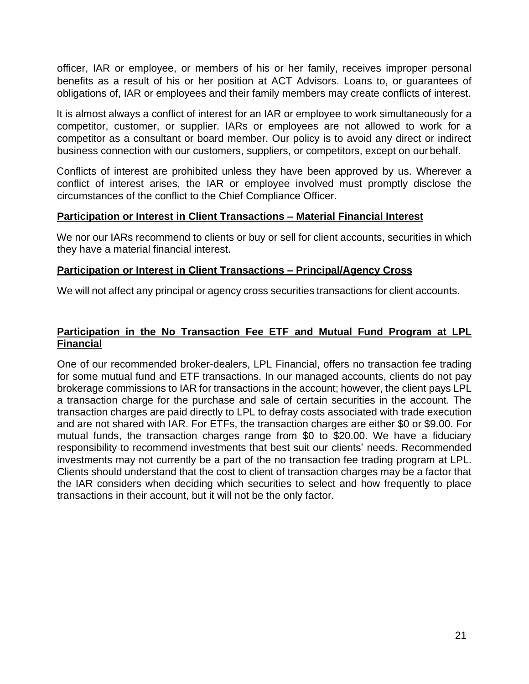officer, IAR or employee, or members of his or her family, receives improper personal benefits as a result of his or her position at ACT Advisors. Loans to, or guarantees of obligations of, IAR or employees and their family members may create conflicts of interest.

It is almost always a conflict of interest for an IAR or employee to work simultaneously for a competitor, customer, or supplier. IARs or employees are not allowed to work for a competitor as a consultant or board member. Our policy is to avoid any direct or indirect business connection with our customers, suppliers, or competitors, except on our behalf.

Conflicts of interest are prohibited unless they have been approved by us. Wherever a conflict of interest arises, the IAR or employee involved must promptly disclose the circumstances of the conflict to the Chief Compliance Officer.

#### **Participation or Interest in Client Transactions – Material Financial Interest**

We nor our IARs recommend to clients or buy or sell for client accounts, securities in which they have a material financial interest.

#### **Participation or Interest in Client Transactions – Principal/Agency Cross**

We will not affect any principal or agency cross securities transactions for client accounts.

#### **Participation in the No Transaction Fee ETF and Mutual Fund Program at LPL Financial**

<span id="page-20-0"></span>One of our recommended broker-dealers, LPL Financial, offers no transaction fee trading for some mutual fund and ETF transactions. In our managed accounts, clients do not pay brokerage commissions to IAR for transactions in the account; however, the client pays LPL a transaction charge for the purchase and sale of certain securities in the account. The transaction charges are paid directly to LPL to defray costs associated with trade execution and are not shared with IAR. For ETFs, the transaction charges are either \$0 or \$9.00. For mutual funds, the transaction charges range from \$0 to \$20.00. We have a fiduciary responsibility to recommend investments that best suit our clients' needs. Recommended investments may not currently be a part of the no transaction fee trading program at LPL. Clients should understand that the cost to client of transaction charges may be a factor that the IAR considers when deciding which securities to select and how frequently to place transactions in their account, but it will not be the only factor.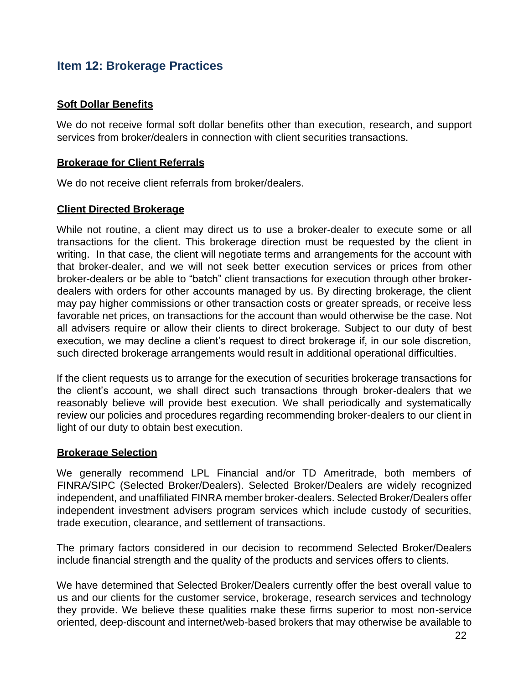## **Item 12: Brokerage Practices**

#### **Soft Dollar Benefits**

We do not receive formal soft dollar benefits other than execution, research, and support services from broker/dealers in connection with client securities transactions.

#### **Brokerage for Client Referrals**

We do not receive client referrals from broker/dealers.

#### **Client Directed Brokerage**

While not routine, a client may direct us to use a broker-dealer to execute some or all transactions for the client. This brokerage direction must be requested by the client in writing. In that case, the client will negotiate terms and arrangements for the account with that broker-dealer, and we will not seek better execution services or prices from other broker-dealers or be able to "batch" client transactions for execution through other brokerdealers with orders for other accounts managed by us. By directing brokerage, the client may pay higher commissions or other transaction costs or greater spreads, or receive less favorable net prices, on transactions for the account than would otherwise be the case. Not all advisers require or allow their clients to direct brokerage. Subject to our duty of best execution, we may decline a client's request to direct brokerage if, in our sole discretion, such directed brokerage arrangements would result in additional operational difficulties.

If the client requests us to arrange for the execution of securities brokerage transactions for the client's account, we shall direct such transactions through broker-dealers that we reasonably believe will provide best execution. We shall periodically and systematically review our policies and procedures regarding recommending broker-dealers to our client in light of our duty to obtain best execution.

#### **Brokerage Selection**

We generally recommend LPL Financial and/or TD Ameritrade, both members of FINRA/SIPC (Selected Broker/Dealers). Selected Broker/Dealers are widely recognized independent, and unaffiliated FINRA member broker-dealers. Selected Broker/Dealers offer independent investment advisers program services which include custody of securities, trade execution, clearance, and settlement of transactions.

The primary factors considered in our decision to recommend Selected Broker/Dealers include financial strength and the quality of the products and services offers to clients.

We have determined that Selected Broker/Dealers currently offer the best overall value to us and our clients for the customer service, brokerage, research services and technology they provide. We believe these qualities make these firms superior to most non-service oriented, deep-discount and internet/web-based brokers that may otherwise be available to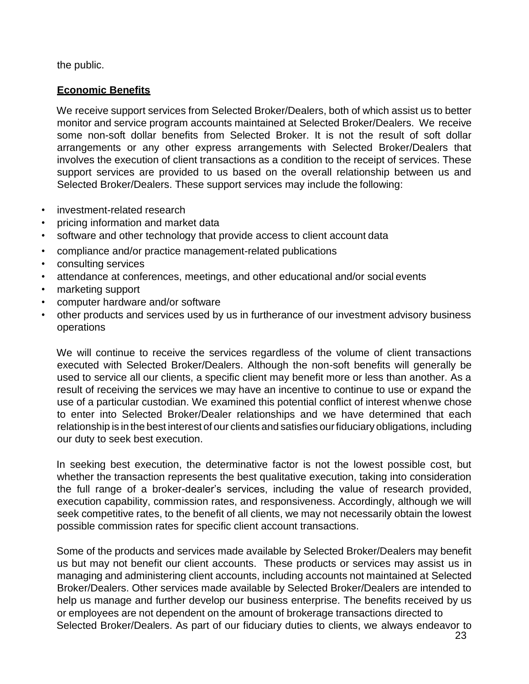the public.

#### **Economic Benefits**

We receive support services from Selected Broker/Dealers, both of which assist us to better monitor and service program accounts maintained at Selected Broker/Dealers. We receive some non-soft dollar benefits from Selected Broker. It is not the result of soft dollar arrangements or any other express arrangements with Selected Broker/Dealers that involves the execution of client transactions as a condition to the receipt of services. These support services are provided to us based on the overall relationship between us and Selected Broker/Dealers. These support services may include the following:

- investment-related research
- pricing information and market data
- software and other technology that provide access to client account data
- compliance and/or practice management-related publications
- consulting services
- attendance at conferences, meetings, and other educational and/or social events
- marketing support
- computer hardware and/or software
- other products and services used by us in furtherance of our investment advisory business operations

We will continue to receive the services regardless of the volume of client transactions executed with Selected Broker/Dealers. Although the non-soft benefits will generally be used to service all our clients, a specific client may benefit more or less than another. As a result of receiving the services we may have an incentive to continue to use or expand the use of a particular custodian. We examined this potential conflict of interest whenwe chose to enter into Selected Broker/Dealer relationships and we have determined that each relationship is in the best interest of our clients and satisfies ourfiduciary obligations, including our duty to seek best execution.

In seeking best execution, the determinative factor is not the lowest possible cost, but whether the transaction represents the best qualitative execution, taking into consideration the full range of a broker-dealer's services, including the value of research provided, execution capability, commission rates, and responsiveness. Accordingly, although we will seek competitive rates, to the benefit of all clients, we may not necessarily obtain the lowest possible commission rates for specific client account transactions.

Some of the products and services made available by Selected Broker/Dealers may benefit us but may not benefit our client accounts. These products or services may assist us in managing and administering client accounts, including accounts not maintained at Selected Broker/Dealers. Other services made available by Selected Broker/Dealers are intended to help us manage and further develop our business enterprise. The benefits received by us or employees are not dependent on the amount of brokerage transactions directed to Selected Broker/Dealers. As part of our fiduciary duties to clients, we always endeavor to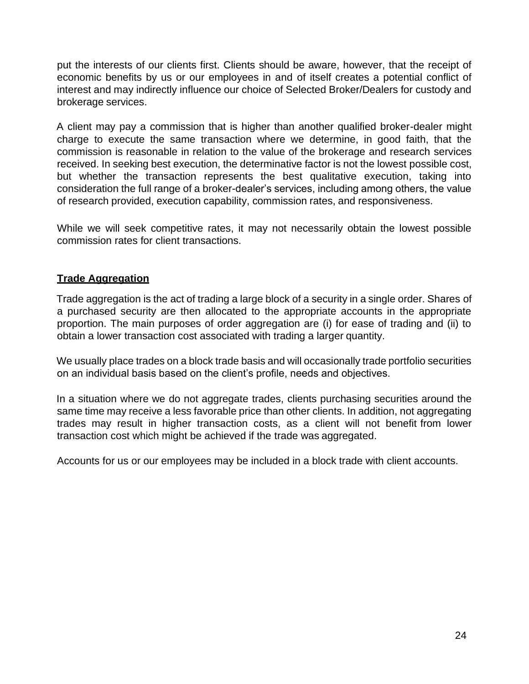put the interests of our clients first. Clients should be aware, however, that the receipt of economic benefits by us or our employees in and of itself creates a potential conflict of interest and may indirectly influence our choice of Selected Broker/Dealers for custody and brokerage services.

A client may pay a commission that is higher than another qualified broker-dealer might charge to execute the same transaction where we determine, in good faith, that the commission is reasonable in relation to the value of the brokerage and research services received. In seeking best execution, the determinative factor is not the lowest possible cost, but whether the transaction represents the best qualitative execution, taking into consideration the full range of a broker-dealer's services, including among others, the value of research provided, execution capability, commission rates, and responsiveness.

While we will seek competitive rates, it may not necessarily obtain the lowest possible commission rates for client transactions.

#### **Trade Aggregation**

Trade aggregation is the act of trading a large block of a security in a single order. Shares of a purchased security are then allocated to the appropriate accounts in the appropriate proportion. The main purposes of order aggregation are (i) for ease of trading and (ii) to obtain a lower transaction cost associated with trading a larger quantity.

We usually place trades on a block trade basis and will occasionally trade portfolio securities on an individual basis based on the client's profile, needs and objectives.

In a situation where we do not aggregate trades, clients purchasing securities around the same time may receive a less favorable price than other clients. In addition, not aggregating trades may result in higher transaction costs, as a client will not benefit from lower transaction cost which might be achieved if the trade was aggregated.

<span id="page-23-0"></span>Accounts for us or our employees may be included in a block trade with client accounts.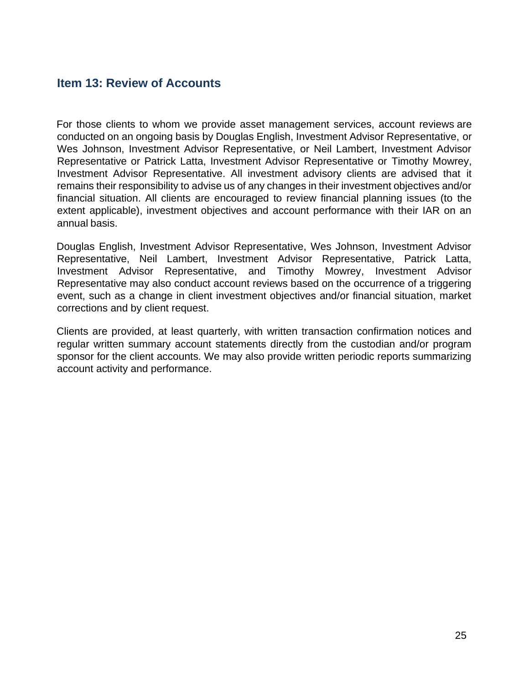## **Item 13: Review of Accounts**

For those clients to whom we provide asset management services, account reviews are conducted on an ongoing basis by Douglas English, Investment Advisor Representative, or Wes Johnson, Investment Advisor Representative, or Neil Lambert, Investment Advisor Representative or Patrick Latta, Investment Advisor Representative or Timothy Mowrey, Investment Advisor Representative. All investment advisory clients are advised that it remains their responsibility to advise us of any changes in their investment objectives and/or financial situation. All clients are encouraged to review financial planning issues (to the extent applicable), investment objectives and account performance with their IAR on an annual basis.

Douglas English, Investment Advisor Representative, Wes Johnson, Investment Advisor Representative, Neil Lambert, Investment Advisor Representative, Patrick Latta, Investment Advisor Representative, and Timothy Mowrey, Investment Advisor Representative may also conduct account reviews based on the occurrence of a triggering event, such as a change in client investment objectives and/or financial situation, market corrections and by client request.

Clients are provided, at least quarterly, with written transaction confirmation notices and regular written summary account statements directly from the custodian and/or program sponsor for the client accounts. We may also provide written periodic reports summarizing account activity and performance.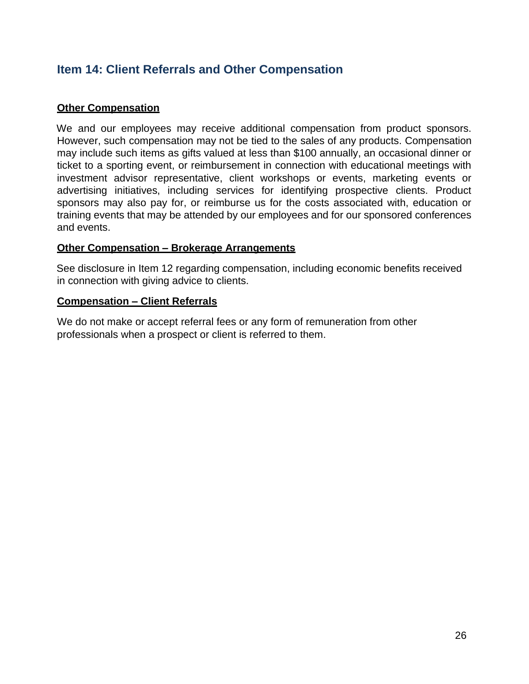## <span id="page-25-0"></span>**Item 14: Client Referrals and Other Compensation**

#### **Other Compensation**

We and our employees may receive additional compensation from product sponsors. However, such compensation may not be tied to the sales of any products. Compensation may include such items as gifts valued at less than \$100 annually, an occasional dinner or ticket to a sporting event, or reimbursement in connection with educational meetings with investment advisor representative, client workshops or events, marketing events or advertising initiatives, including services for identifying prospective clients. Product sponsors may also pay for, or reimburse us for the costs associated with, education or training events that may be attended by our employees and for our sponsored conferences and events.

#### **Other Compensation – Brokerage Arrangements**

See disclosure in Item 12 regarding compensation, including economic benefits received in connection with giving advice to clients.

#### **Compensation – Client Referrals**

We do not make or accept referral fees or any form of remuneration from other professionals when a prospect or client is referred to them.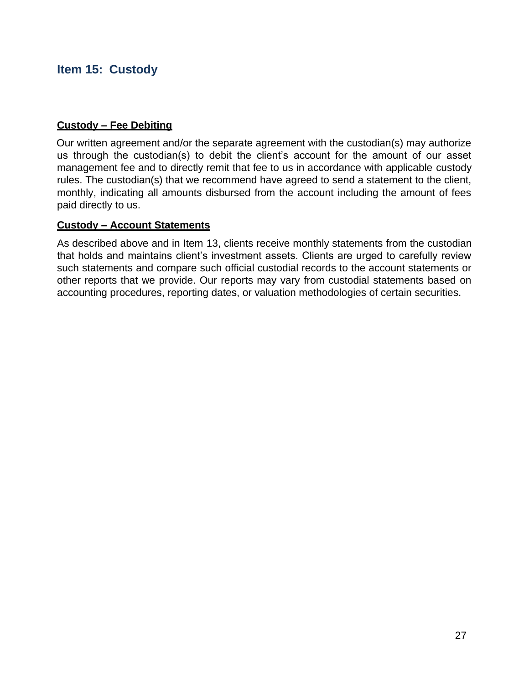## <span id="page-26-0"></span>**Item 15: Custody**

#### **Custody – Fee Debiting**

Our written agreement and/or the separate agreement with the custodian(s) may authorize us through the custodian(s) to debit the client's account for the amount of our asset management fee and to directly remit that fee to us in accordance with applicable custody rules. The custodian(s) that we recommend have agreed to send a statement to the client, monthly, indicating all amounts disbursed from the account including the amount of fees paid directly to us.

#### **Custody – Account Statements**

As described above and in Item 13, clients receive monthly statements from the custodian that holds and maintains client's investment assets. Clients are urged to carefully review such statements and compare such official custodial records to the account statements or other reports that we provide. Our reports may vary from custodial statements based on accounting procedures, reporting dates, or valuation methodologies of certain securities.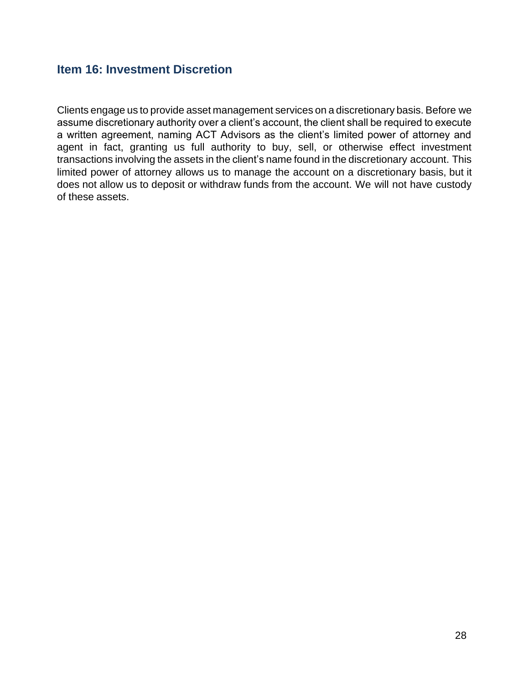### <span id="page-27-0"></span>**Item 16: Investment Discretion**

Clients engage us to provide asset management services on a discretionary basis. Before we assume discretionary authority over a client's account, the client shall be required to execute a written agreement, naming ACT Advisors as the client's limited power of attorney and agent in fact, granting us full authority to buy, sell, or otherwise effect investment transactions involving the assets in the client's name found in the discretionary account. This limited power of attorney allows us to manage the account on a discretionary basis, but it does not allow us to deposit or withdraw funds from the account. We will not have custody of these assets.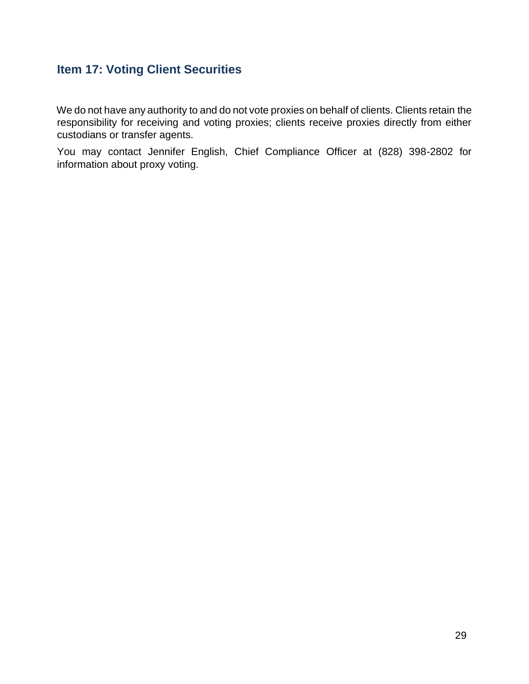## <span id="page-28-0"></span>**Item 17: Voting Client Securities**

We do not have any authority to and do not vote proxies on behalf of clients. Clients retain the responsibility for receiving and voting proxies; clients receive proxies directly from either custodians or transfer agents.

You may contact Jennifer English, Chief Compliance Officer at (828) 398-2802 for information about proxy voting.